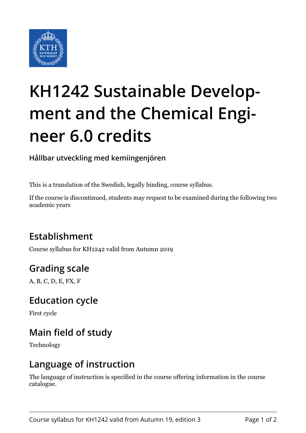

# **KH1242 Sustainable Development and the Chemical Engineer 6.0 credits**

**Hållbar utveckling med kemiingenjören**

This is a translation of the Swedish, legally binding, course syllabus.

If the course is discontinued, students may request to be examined during the following two academic years

# **Establishment**

Course syllabus for KH1242 valid from Autumn 2019

# **Grading scale**

A, B, C, D, E, FX, F

#### **Education cycle**

First cycle

# **Main field of study**

Technology

#### **Language of instruction**

The language of instruction is specified in the course offering information in the course catalogue.